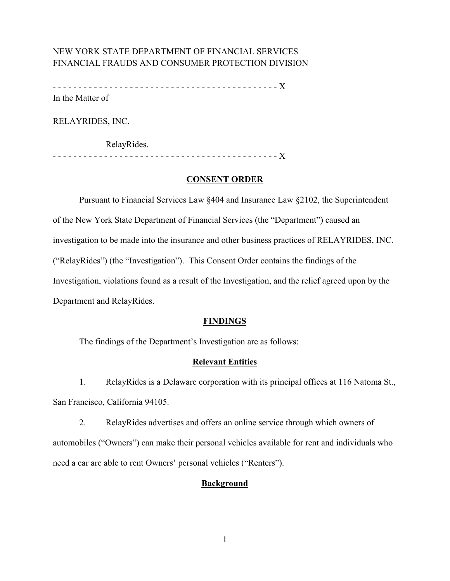# NEW YORK STATE DEPARTMENT OF FINANCIAL SERVICES FINANCIAL FRAUDS AND CONSUMER PROTECTION DIVISION

 - - - - - - - - - - - - - - - - - - - - - - - - - - - - - - - - - - - - - - - - - - - - X In the Matter of

RELAYRIDES, INC.

RelayRides.

- - - - - - - - - - - - - - - - - - - - - - - - - - - - - - - - - - - - - - - - - - - - X

# **CONSENT ORDER**

 Investigation, violations found as a result of the Investigation, and the relief agreed upon by the Pursuant to Financial Services Law §404 and Insurance Law §2102, the Superintendent of the New York State Department of Financial Services (the "Department") caused an investigation to be made into the insurance and other business practices of RELAYRIDES, INC. ("RelayRides") (the "Investigation"). This Consent Order contains the findings of the Department and RelayRides.

# **FINDINGS**

The findings of the Department's Investigation are as follows:

# **Relevant Entities**

 1. RelayRides is a Delaware corporation with its principal offices at 116 Natoma St., San Francisco, California 94105.

 automobiles ("Owners") can make their personal vehicles available for rent and individuals who need a car are able to rent Owners' personal vehicles ("Renters"). 2. RelayRides advertises and offers an online service through which owners of

# **Background**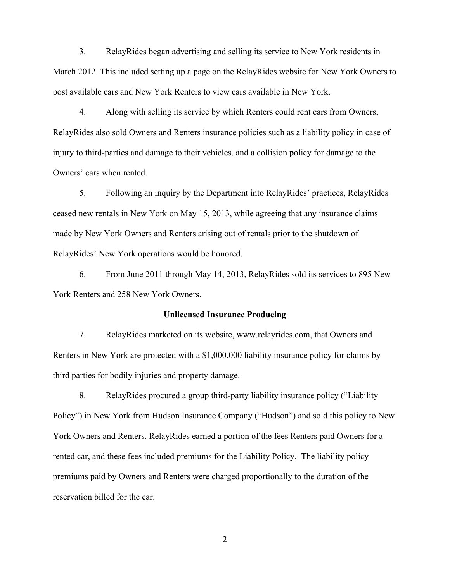3. RelayRides began advertising and selling its service to New York residents in March 2012. This included setting up a page on the RelayRides website for New York Owners to post available cars and New York Renters to view cars available in New York.

 4. Along with selling its service by which Renters could rent cars from Owners, RelayRides also sold Owners and Renters insurance policies such as a liability policy in case of injury to third-parties and damage to their vehicles, and a collision policy for damage to the Owners' cars when rented.

 5. Following an inquiry by the Department into RelayRides' practices, RelayRides ceased new rentals in New York on May 15, 2013, while agreeing that any insurance claims made by New York Owners and Renters arising out of rentals prior to the shutdown of RelayRides' New York operations would be honored.

6. From June 2011 through May 14, 2013, RelayRides sold its services to 895 New York Renters and 258 New York Owners.

### **Unlicensed Insurance Producing**

 7. RelayRides marketed on its website, www.relayrides.com, that Owners and Renters in New York are protected with a \$1,000,000 liability insurance policy for claims by third parties for bodily injuries and property damage.

 8. RelayRides procured a group third-party liability insurance policy ("Liability Policy") in New York from Hudson Insurance Company ("Hudson") and sold this policy to New rented car, and these fees included premiums for the Liability Policy. The liability policy premiums paid by Owners and Renters were charged proportionally to the duration of the York Owners and Renters. RelayRides earned a portion of the fees Renters paid Owners for a reservation billed for the car.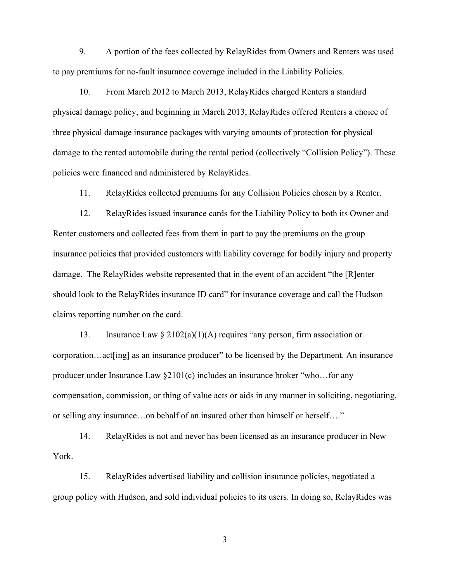9. A portion of the fees collected by RelayRides from Owners and Renters was used to pay premiums for no-fault insurance coverage included in the Liability Policies.

 damage to the rented automobile during the rental period (collectively "Collision Policy"). These policies were financed and administered by RelayRides. 10. From March 2012 to March 2013, RelayRides charged Renters a standard physical damage policy, and beginning in March 2013, RelayRides offered Renters a choice of three physical damage insurance packages with varying amounts of protection for physical

11. RelayRides collected premiums for any Collision Policies chosen by a Renter.

 Renter customers and collected fees from them in part to pay the premiums on the group damage. The RelayRides website represented that in the event of an accident "the [R]enter should look to the RelayRides insurance ID card" for insurance coverage and call the Hudson claims reporting number on the card. 12. RelayRides issued insurance cards for the Liability Policy to both its Owner and insurance policies that provided customers with liability coverage for bodily injury and property

13. Insurance Law  $\S 2102(a)(1)(A)$  requires "any person, firm association or corporation…act[ing] as an insurance producer" to be licensed by the Department. An insurance producer under Insurance Law §2101(c) includes an insurance broker "who…for any compensation, commission, or thing of value acts or aids in any manner in soliciting, negotiating, or selling any insurance…on behalf of an insured other than himself or herself…."

14. RelayRides is not and never has been licensed as an insurance producer in New York.

15. RelayRides advertised liability and collision insurance policies, negotiated a group policy with Hudson, and sold individual policies to its users. In doing so, RelayRides was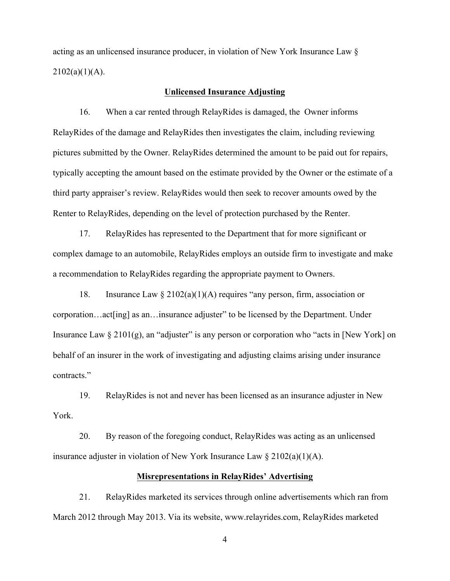acting as an unlicensed insurance producer, in violation of New York Insurance Law §  $2102(a)(1)(A)$ .

#### **Unlicensed Insurance Adjusting**

 16. When a car rented through RelayRides is damaged, the Owner informs RelayRides of the damage and RelayRides then investigates the claim, including reviewing typically accepting the amount based on the estimate provided by the Owner or the estimate of a third party appraiser's review. RelayRides would then seek to recover amounts owed by the pictures submitted by the Owner. RelayRides determined the amount to be paid out for repairs, Renter to RelayRides, depending on the level of protection purchased by the Renter.

 complex damage to an automobile, RelayRides employs an outside firm to investigate and make 17. RelayRides has represented to the Department that for more significant or a recommendation to RelayRides regarding the appropriate payment to Owners.

 corporation…act[ing] as an…insurance adjuster" to be licensed by the Department. Under behalf of an insurer in the work of investigating and adjusting claims arising under insurance contracts." 18. Insurance Law  $\S 2102(a)(1)(A)$  requires "any person, firm, association or Insurance Law  $\S 2101(g)$ , an "adjuster" is any person or corporation who "acts in [New York] on

19. RelayRides is not and never has been licensed as an insurance adjuster in New York.

20. By reason of the foregoing conduct, RelayRides was acting as an unlicensed insurance adjuster in violation of New York Insurance Law § 2102(a)(1)(A).

# **Misrepresentations in RelayRides' Advertising**

21. RelayRides marketed its services through online advertisements which ran from March 2012 through May 2013. Via its website, www.relayrides.com, RelayRides marketed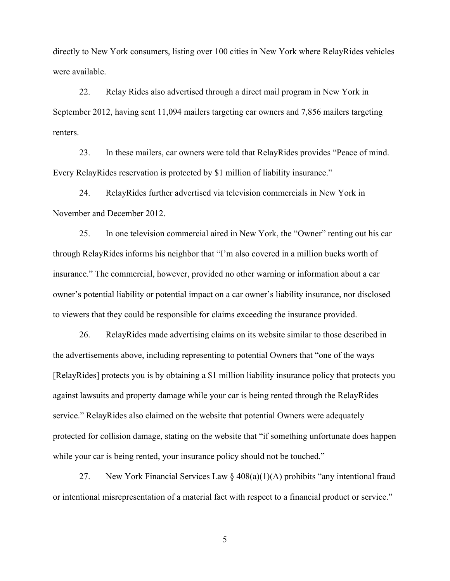directly to New York consumers, listing over 100 cities in New York where RelayRides vehicles were available.

renters. 22. Relay Rides also advertised through a direct mail program in New York in September 2012, having sent 11,094 mailers targeting car owners and 7,856 mailers targeting

23. In these mailers, car owners were told that RelayRides provides "Peace of mind. Every RelayRides reservation is protected by \$1 million of liability insurance."

 24. RelayRides further advertised via television commercials in New York in November and December 2012.

 25. In one television commercial aired in New York, the "Owner" renting out his car insurance." The commercial, however, provided no other warning or information about a car owner's potential liability or potential impact on a car owner's liability insurance, nor disclosed to viewers that they could be responsible for claims exceeding the insurance provided. through RelayRides informs his neighbor that "I'm also covered in a million bucks worth of

while your car is being rented, your insurance policy should not be touched." 26. RelayRides made advertising claims on its website similar to those described in the advertisements above, including representing to potential Owners that "one of the ways [RelayRides] protects you is by obtaining a \$1 million liability insurance policy that protects you against lawsuits and property damage while your car is being rented through the RelayRides service." RelayRides also claimed on the website that potential Owners were adequately protected for collision damage, stating on the website that "if something unfortunate does happen

27. New York Financial Services Law  $\S 408(a)(1)(A)$  prohibits "any intentional fraud or intentional misrepresentation of a material fact with respect to a financial product or service."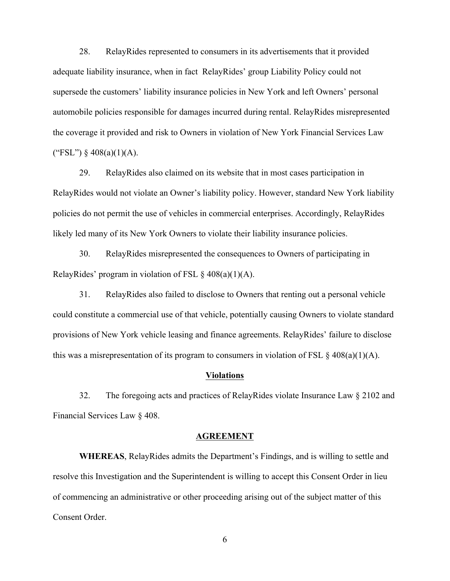28. RelayRides represented to consumers in its advertisements that it provided adequate liability insurance, when in fact RelayRides' group Liability Policy could not supersede the customers' liability insurance policies in New York and left Owners' personal automobile policies responsible for damages incurred during rental. RelayRides misrepresented the coverage it provided and risk to Owners in violation of New York Financial Services Law ("FSL")  $§$  408(a)(1)(A).

 29. RelayRides also claimed on its website that in most cases participation in policies do not permit the use of vehicles in commercial enterprises. Accordingly, RelayRides RelayRides would not violate an Owner's liability policy. However, standard New York liability likely led many of its New York Owners to violate their liability insurance policies.

30. RelayRides misrepresented the consequences to Owners of participating in RelayRides' program in violation of FSL  $\S$  408(a)(1)(A).

 could constitute a commercial use of that vehicle, potentially causing Owners to violate standard provisions of New York vehicle leasing and finance agreements. RelayRides' failure to disclose 31. RelayRides also failed to disclose to Owners that renting out a personal vehicle this was a misrepresentation of its program to consumers in violation of FSL  $\S 408(a)(1)(A)$ .

#### **Violations**

 32. The foregoing acts and practices of RelayRides violate Insurance Law § 2102 and Financial Services Law § 408.

#### **AGREEMENT**

 **WHEREAS**, RelayRides admits the Department's Findings, and is willing to settle and resolve this Investigation and the Superintendent is willing to accept this Consent Order in lieu of commencing an administrative or other proceeding arising out of the subject matter of this Consent Order.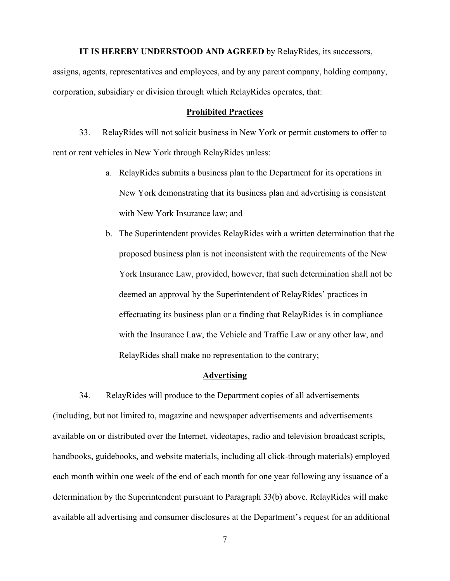#### **IT IS HEREBY UNDERSTOOD AND AGREED** by RelayRides, its successors,

assigns, agents, representatives and employees, and by any parent company, holding company, corporation, subsidiary or division through which RelayRides operates, that:

#### **Prohibited Practices**

 rent or rent vehicles in New York through RelayRides unless: 33. RelayRides will not solicit business in New York or permit customers to offer to

- New York demonstrating that its business plan and advertising is consistent with New York Insurance law; and a. RelayRides submits a business plan to the Department for its operations in
- proposed business plan is not inconsistent with the requirements of the New effectuating its business plan or a finding that RelayRides is in compliance b. The Superintendent provides RelayRides with a written determination that the York Insurance Law, provided, however, that such determination shall not be deemed an approval by the Superintendent of RelayRides' practices in with the Insurance Law, the Vehicle and Traffic Law or any other law, and RelayRides shall make no representation to the contrary;

### **Advertising**

 34. RelayRides will produce to the Department copies of all advertisements handbooks, guidebooks, and website materials, including all click-through materials) employed each month within one week of the end of each month for one year following any issuance of a determination by the Superintendent pursuant to Paragraph 33(b) above. RelayRides will make (including, but not limited to, magazine and newspaper advertisements and advertisements available on or distributed over the Internet, videotapes, radio and television broadcast scripts, available all advertising and consumer disclosures at the Department's request for an additional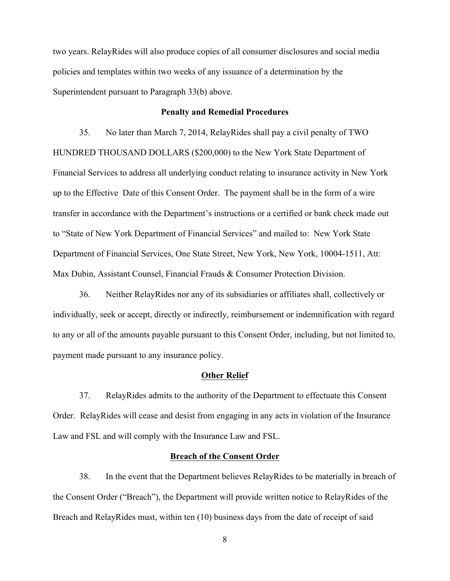two years. RelayRides will also produce copies of all consumer disclosures and social media policies and templates within two weeks of any issuance of a determination by the Superintendent pursuant to Paragraph 33(b) above.

### **Penalty and Remedial Procedures**

 35. No later than March 7, 2014, RelayRides shall pay a civil penalty of TWO HUNDRED THOUSAND DOLLARS (\$200,000) to the New York State Department of Financial Services to address all underlying conduct relating to insurance activity in New York up to the Effective Date of this Consent Order. The payment shall be in the form of a wire transfer in accordance with the Department's instructions or a certified or bank check made out to "State of New York Department of Financial Services" and mailed to: New York State Department of Financial Services, One State Street, New York, New York, 10004-1511, Att: Max Dubin, Assistant Counsel, Financial Frauds & Consumer Protection Division.

 36. Neither RelayRides nor any of its subsidiaries or affiliates shall, collectively or individually, seek or accept, directly or indirectly, reimbursement or indemnification with regard to any or all of the amounts payable pursuant to this Consent Order, including, but not limited to, payment made pursuant to any insurance policy.

### **Other Relief**

37. RelayRides admits to the authority of the Department to effectuate this Consent Order. RelayRides will cease and desist from engaging in any acts in violation of the Insurance Law and FSL and will comply with the Insurance Law and FSL.

## **Breach of the Consent Order**

38. In the event that the Department believes RelayRides to be materially in breach of the Consent Order ("Breach"), the Department will provide written notice to RelayRides of the Breach and RelayRides must, within ten (10) business days from the date of receipt of said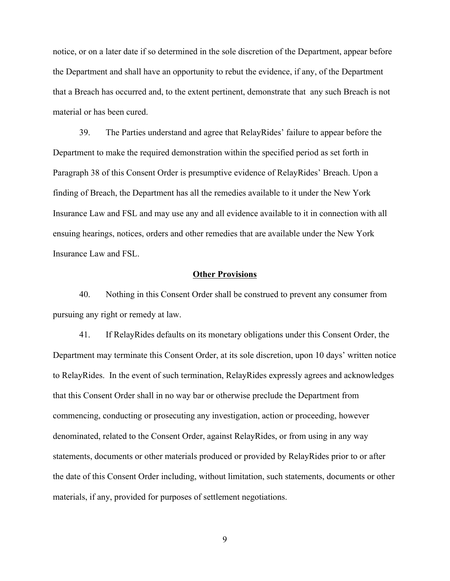the Department and shall have an opportunity to rebut the evidence, if any, of the Department notice, or on a later date if so determined in the sole discretion of the Department, appear before that a Breach has occurred and, to the extent pertinent, demonstrate that any such Breach is not material or has been cured.

 39. The Parties understand and agree that RelayRides' failure to appear before the Paragraph 38 of this Consent Order is presumptive evidence of RelayRides' Breach. Upon a ensuing hearings, notices, orders and other remedies that are available under the New York Department to make the required demonstration within the specified period as set forth in finding of Breach, the Department has all the remedies available to it under the New York Insurance Law and FSL and may use any and all evidence available to it in connection with all Insurance Law and FSL.

## **Other Provisions**

40. Nothing in this Consent Order shall be construed to prevent any consumer from pursuing any right or remedy at law.

 that this Consent Order shall in no way bar or otherwise preclude the Department from 41. If RelayRides defaults on its monetary obligations under this Consent Order, the Department may terminate this Consent Order, at its sole discretion, upon 10 days' written notice to RelayRides. In the event of such termination, RelayRides expressly agrees and acknowledges commencing, conducting or prosecuting any investigation, action or proceeding, however denominated, related to the Consent Order, against RelayRides, or from using in any way statements, documents or other materials produced or provided by RelayRides prior to or after the date of this Consent Order including, without limitation, such statements, documents or other materials, if any, provided for purposes of settlement negotiations.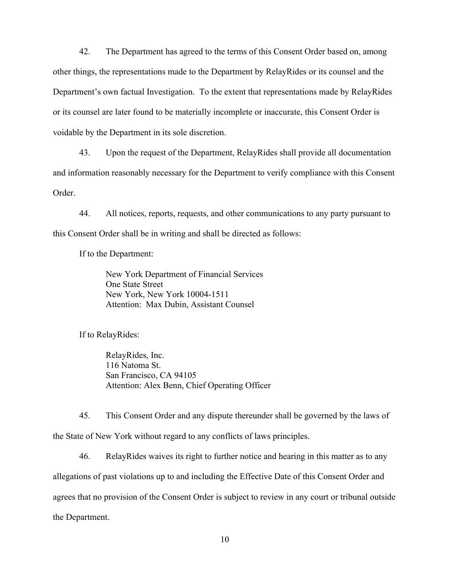voidable by the Department in its sole discretion. 42. The Department has agreed to the terms of this Consent Order based on, among other things, the representations made to the Department by RelayRides or its counsel and the Department's own factual Investigation. To the extent that representations made by RelayRides or its counsel are later found to be materially incomplete or inaccurate, this Consent Order is

 and information reasonably necessary for the Department to verify compliance with this Consent 43. Upon the request of the Department, RelayRides shall provide all documentation Order.

44. All notices, reports, requests, and other communications to any party pursuant to this Consent Order shall be in writing and shall be directed as follows:

If to the Department:

 Attention: Max Dubin, Assistant Counsel New York Department of Financial Services One State Street New York, New York 10004-1511

If to RelayRides:

RelayRides, Inc. 116 Natoma St. San Francisco, CA 94105 Attention: Alex Benn, Chief Operating Officer

45. This Consent Order and any dispute thereunder shall be governed by the laws of the State of New York without regard to any conflicts of laws principles.

46. RelayRides waives its right to further notice and hearing in this matter as to any allegations of past violations up to and including the Effective Date of this Consent Order and agrees that no provision of the Consent Order is subject to review in any court or tribunal outside the Department.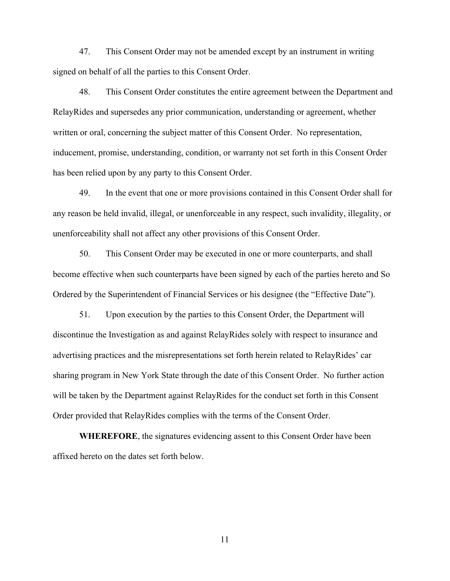47. This Consent Order may not be amended except by an instrument in writing signed on behalf of all the parties to this Consent Order.

48. This Consent Order constitutes the entire agreement between the Department and RelayRides and supersedes any prior communication, understanding or agreement, whether written or oral, concerning the subject matter of this Consent Order. No representation, inducement, promise, understanding, condition, or warranty not set forth in this Consent Order has been relied upon by any party to this Consent Order.

49. In the event that one or more provisions contained in this Consent Order shall for any reason be held invalid, illegal, or unenforceable in any respect, such invalidity, illegality, or unenforceability shall not affect any other provisions of this Consent Order.

50. This Consent Order may be executed in one or more counterparts, and shall become effective when such counterparts have been signed by each of the parties hereto and So Ordered by the Superintendent of Financial Services or his designee (the "Effective Date").

 51. Upon execution by the parties to this Consent Order, the Department will advertising practices and the misrepresentations set forth herein related to RelayRides' car will be taken by the Department against RelayRides for the conduct set forth in this Consent Order provided that RelayRides complies with the terms of the Consent Order. discontinue the Investigation as and against RelayRides solely with respect to insurance and sharing program in New York State through the date of this Consent Order. No further action

**WHEREFORE**, the signatures evidencing assent to this Consent Order have been affixed hereto on the dates set forth below.